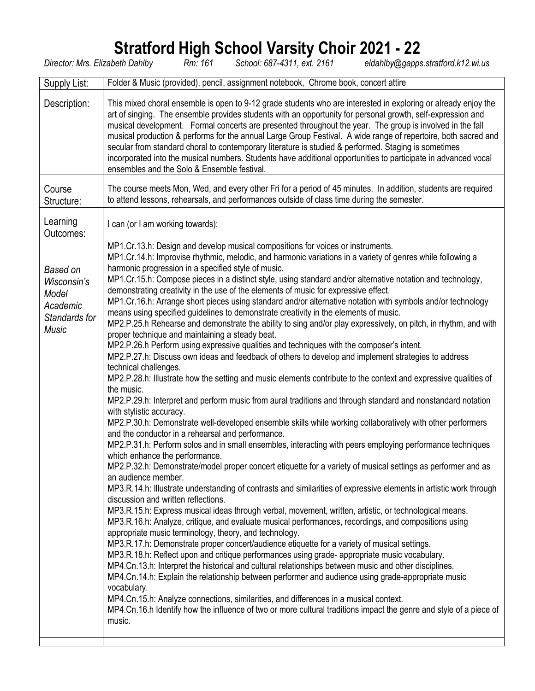## **Stratford High School Varsity Choir 2021 - 22**

*Director: Mrs. Elizabeth Dahlby Rm: 161 School: 687-4311, ext. 2161 [eldahlby@gapps.stratford.k12.wi.us](mailto:eldahlby@gapps.stratford.k12.wi.us)*

| Supply List:                                                                                           | Folder & Music (provided), pencil, assignment notebook, Chrome book, concert attire                                                                                                                                                                                                                                                                                                                                                                                                                                                                                                                                                                                                                                                                                                                                                                                                                                                                                                                                                                                                                                                                                                                                                                                                                                                                                                                                                                                                                                                                                                                                                                                                                                                                                                                                                                                                                                                                                                                                                                                                                                                                                                                                                                                                                                                                                                                                                                                                                                                                                                             |
|--------------------------------------------------------------------------------------------------------|-------------------------------------------------------------------------------------------------------------------------------------------------------------------------------------------------------------------------------------------------------------------------------------------------------------------------------------------------------------------------------------------------------------------------------------------------------------------------------------------------------------------------------------------------------------------------------------------------------------------------------------------------------------------------------------------------------------------------------------------------------------------------------------------------------------------------------------------------------------------------------------------------------------------------------------------------------------------------------------------------------------------------------------------------------------------------------------------------------------------------------------------------------------------------------------------------------------------------------------------------------------------------------------------------------------------------------------------------------------------------------------------------------------------------------------------------------------------------------------------------------------------------------------------------------------------------------------------------------------------------------------------------------------------------------------------------------------------------------------------------------------------------------------------------------------------------------------------------------------------------------------------------------------------------------------------------------------------------------------------------------------------------------------------------------------------------------------------------------------------------------------------------------------------------------------------------------------------------------------------------------------------------------------------------------------------------------------------------------------------------------------------------------------------------------------------------------------------------------------------------------------------------------------------------------------------------------------------------|
| Description:                                                                                           | This mixed choral ensemble is open to 9-12 grade students who are interested in exploring or already enjoy the<br>art of singing. The ensemble provides students with an opportunity for personal growth, self-expression and<br>musical development. Formal concerts are presented throughout the year. The group is involved in the fall<br>musical production & performs for the annual Large Group Festival. A wide range of repertoire, both sacred and<br>secular from standard choral to contemporary literature is studied & performed. Staging is sometimes<br>incorporated into the musical numbers. Students have additional opportunities to participate in advanced vocal<br>ensembles and the Solo & Ensemble festival.                                                                                                                                                                                                                                                                                                                                                                                                                                                                                                                                                                                                                                                                                                                                                                                                                                                                                                                                                                                                                                                                                                                                                                                                                                                                                                                                                                                                                                                                                                                                                                                                                                                                                                                                                                                                                                                           |
| Course<br>Structure:                                                                                   | The course meets Mon, Wed, and every other Fri for a period of 45 minutes. In addition, students are required<br>to attend lessons, rehearsals, and performances outside of class time during the semester.                                                                                                                                                                                                                                                                                                                                                                                                                                                                                                                                                                                                                                                                                                                                                                                                                                                                                                                                                                                                                                                                                                                                                                                                                                                                                                                                                                                                                                                                                                                                                                                                                                                                                                                                                                                                                                                                                                                                                                                                                                                                                                                                                                                                                                                                                                                                                                                     |
| Learning<br>Outcomes:<br>Based on<br>Wisconsin's<br>Model<br>Academic<br>Standards for<br><b>Music</b> | I can (or I am working towards):<br>MP1.Cr.13.h: Design and develop musical compositions for voices or instruments.<br>MP1.Cr.14.h: Improvise rhythmic, melodic, and harmonic variations in a variety of genres while following a<br>harmonic progression in a specified style of music.<br>MP1.Cr.15.h: Compose pieces in a distinct style, using standard and/or alternative notation and technology,<br>demonstrating creativity in the use of the elements of music for expressive effect.<br>MP1.Cr.16.h: Arrange short pieces using standard and/or alternative notation with symbols and/or technology<br>means using specified guidelines to demonstrate creativity in the elements of music.<br>MP2.P.25.h Rehearse and demonstrate the ability to sing and/or play expressively, on pitch, in rhythm, and with<br>proper technique and maintaining a steady beat.<br>MP2.P.26.h Perform using expressive qualities and techniques with the composer's intent.<br>MP2.P.27.h: Discuss own ideas and feedback of others to develop and implement strategies to address<br>technical challenges.<br>MP2.P.28.h: Illustrate how the setting and music elements contribute to the context and expressive qualities of<br>the music.<br>MP2.P.29.h: Interpret and perform music from aural traditions and through standard and nonstandard notation<br>with stylistic accuracy.<br>MP2.P.30.h: Demonstrate well-developed ensemble skills while working collaboratively with other performers<br>and the conductor in a rehearsal and performance.<br>MP2.P.31.h: Perform solos and in small ensembles, interacting with peers employing performance techniques<br>which enhance the performance.<br>MP2.P.32.h: Demonstrate/model proper concert etiquette for a variety of musical settings as performer and as<br>an audience member.<br>MP3.R.14.h: Illustrate understanding of contrasts and similarities of expressive elements in artistic work through<br>discussion and written reflections.<br>MP3.R.15.h: Express musical ideas through verbal, movement, written, artistic, or technological means.<br>MP3.R.16.h: Analyze, critique, and evaluate musical performances, recordings, and compositions using<br>appropriate music terminology, theory, and technology.<br>MP3.R.17.h: Demonstrate proper concert/audience etiquette for a variety of musical settings.<br>MP3.R.18.h: Reflect upon and critique performances using grade- appropriate music vocabulary.<br>MP4.Cn.13.h: Interpret the historical and cultural relationships between music and other disciplines. |
|                                                                                                        | MP4.Cn.14.h: Explain the relationship between performer and audience using grade-appropriate music<br>vocabulary.<br>MP4.Cn.15.h: Analyze connections, similarities, and differences in a musical context.<br>MP4.Cn.16.h Identify how the influence of two or more cultural traditions impact the genre and style of a piece of<br>music.                                                                                                                                                                                                                                                                                                                                                                                                                                                                                                                                                                                                                                                                                                                                                                                                                                                                                                                                                                                                                                                                                                                                                                                                                                                                                                                                                                                                                                                                                                                                                                                                                                                                                                                                                                                                                                                                                                                                                                                                                                                                                                                                                                                                                                                      |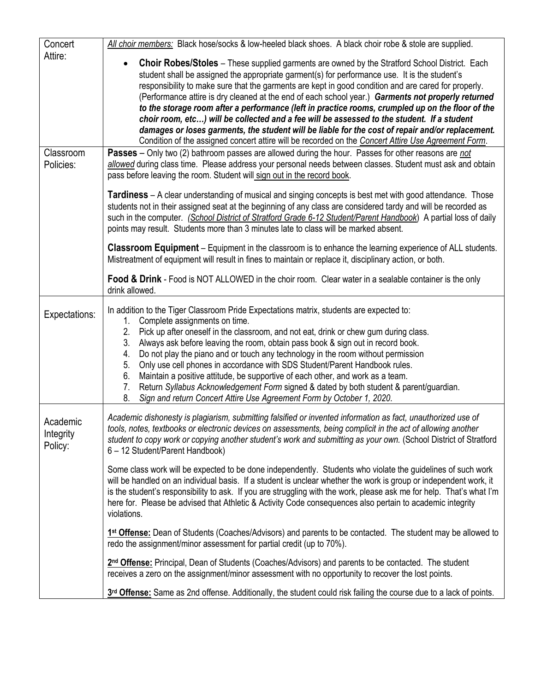| Concert<br>Attire:               | All choir members: Black hose/socks & low-heeled black shoes. A black choir robe & stole are supplied.                                                                                                                                                                                                                                                                                                                                                                                                                                                                                                                                                                                                                                                                                                                                        |
|----------------------------------|-----------------------------------------------------------------------------------------------------------------------------------------------------------------------------------------------------------------------------------------------------------------------------------------------------------------------------------------------------------------------------------------------------------------------------------------------------------------------------------------------------------------------------------------------------------------------------------------------------------------------------------------------------------------------------------------------------------------------------------------------------------------------------------------------------------------------------------------------|
|                                  | <b>Choir Robes/Stoles</b> – These supplied garments are owned by the Stratford School District. Each<br>$\bullet$<br>student shall be assigned the appropriate garment(s) for performance use. It is the student's<br>responsibility to make sure that the garments are kept in good condition and are cared for properly.<br>(Performance attire is dry cleaned at the end of each school year.) Garments not properly returned<br>to the storage room after a performance (left in practice rooms, crumpled up on the floor of the<br>choir room, etc) will be collected and a fee will be assessed to the student. If a student<br>damages or loses garments, the student will be liable for the cost of repair and/or replacement.<br>Condition of the assigned concert attire will be recorded on the Concert Attire Use Agreement Form. |
| Classroom<br>Policies:           | Passes - Only two (2) bathroom passes are allowed during the hour. Passes for other reasons are not<br>allowed during class time. Please address your personal needs between classes. Student must ask and obtain<br>pass before leaving the room. Student will sign out in the record book.                                                                                                                                                                                                                                                                                                                                                                                                                                                                                                                                                  |
|                                  | <b>Tardiness</b> – A clear understanding of musical and singing concepts is best met with good attendance. Those<br>students not in their assigned seat at the beginning of any class are considered tardy and will be recorded as<br>such in the computer. (School District of Stratford Grade 6-12 Student/Parent Handbook) A partial loss of daily<br>points may result. Students more than 3 minutes late to class will be marked absent.                                                                                                                                                                                                                                                                                                                                                                                                 |
|                                  | <b>Classroom Equipment</b> – Equipment in the classroom is to enhance the learning experience of ALL students.<br>Mistreatment of equipment will result in fines to maintain or replace it, disciplinary action, or both.                                                                                                                                                                                                                                                                                                                                                                                                                                                                                                                                                                                                                     |
|                                  | Food & Drink - Food is NOT ALLOWED in the choir room. Clear water in a sealable container is the only<br>drink allowed.                                                                                                                                                                                                                                                                                                                                                                                                                                                                                                                                                                                                                                                                                                                       |
| Expectations:                    | In addition to the Tiger Classroom Pride Expectations matrix, students are expected to:<br>1. Complete assignments on time.<br>2.<br>Pick up after oneself in the classroom, and not eat, drink or chew gum during class.<br>Always ask before leaving the room, obtain pass book & sign out in record book.<br>3.<br>Do not play the piano and or touch any technology in the room without permission<br>4.<br>5.<br>Only use cell phones in accordance with SDS Student/Parent Handbook rules.<br>6.<br>Maintain a positive attitude, be supportive of each other, and work as a team.<br>Return Syllabus Acknowledgement Form signed & dated by both student & parent/guardian.<br>7.<br>Sign and return Concert Attire Use Agreement Form by October 1, 2020.<br>8.                                                                       |
| Academic<br>Integrity<br>Policy: | Academic dishonesty is plagiarism, submitting falsified or invented information as fact, unauthorized use of<br>tools, notes, textbooks or electronic devices on assessments, being complicit in the act of allowing another<br>student to copy work or copying another student's work and submitting as your own. (School District of Stratford<br>6 - 12 Student/Parent Handbook)                                                                                                                                                                                                                                                                                                                                                                                                                                                           |
|                                  | Some class work will be expected to be done independently. Students who violate the guidelines of such work<br>will be handled on an individual basis. If a student is unclear whether the work is group or independent work, it<br>is the student's responsibility to ask. If you are struggling with the work, please ask me for help. That's what I'm<br>here for. Please be advised that Athletic & Activity Code consequences also pertain to academic integrity<br>violations.                                                                                                                                                                                                                                                                                                                                                          |
|                                  | 1 <sup>st</sup> Offense: Dean of Students (Coaches/Advisors) and parents to be contacted. The student may be allowed to<br>redo the assignment/minor assessment for partial credit (up to 70%).                                                                                                                                                                                                                                                                                                                                                                                                                                                                                                                                                                                                                                               |
|                                  | 2 <sup>nd</sup> Offense: Principal, Dean of Students (Coaches/Advisors) and parents to be contacted. The student<br>receives a zero on the assignment/minor assessment with no opportunity to recover the lost points.                                                                                                                                                                                                                                                                                                                                                                                                                                                                                                                                                                                                                        |
|                                  | 3rd Offense: Same as 2nd offense. Additionally, the student could risk failing the course due to a lack of points.                                                                                                                                                                                                                                                                                                                                                                                                                                                                                                                                                                                                                                                                                                                            |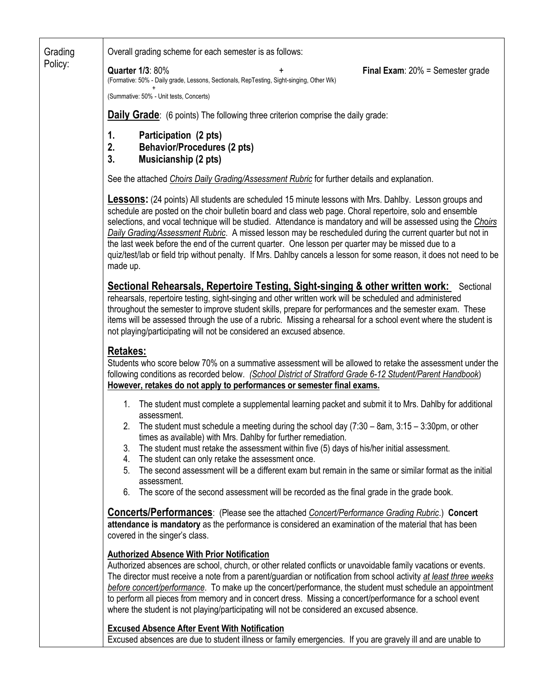Grading Policy: Overall grading scheme for each semester is as follows: **Quarter 1/3**: 80% **Final Exam**: 20% = Semester grade (Formative: 50% - Daily grade, Lessons, Sectionals, RepTesting, Sight-singing, Other Wk)  $+$  +  $+$  +  $+$  +  $+$ (Summative: 50% - Unit tests, Concerts) **Daily Grade:** (6 points) The following three criterion comprise the daily grade: **1. Participation (2 pts) 2. Behavior/Procedures (2 pts) 3. Musicianship (2 pts)** See the attached *Ch*o*irs Daily Grading/Assessment Rubric* for further details and explanation. **Lessons:** (24 points) All students are scheduled 15 minute lessons with Mrs. Dahlby. Lesson groups and schedule are posted on the choir bulletin board and class web page. Choral repertoire, solo and ensemble selections, and vocal technique will be studied. Attendance is mandatory and will be assessed using the *Ch*o*irs Daily Grading/Assessment Rubric*. A missed lesson may be rescheduled during the current quarter but not in the last week before the end of the current quarter. One lesson per quarter may be missed due to a quiz/test/lab or field trip without penalty. If Mrs. Dahlby cancels a lesson for some reason, it does not need to be made up. **Sectional Rehearsals, Repertoire Testing, Sight-singing & other written work:** Sectional rehearsals, repertoire testing, sight-singing and other written work will be scheduled and administered throughout the semester to improve student skills, prepare for performances and the semester exam. These items will be assessed through the use of a rubric. Missing a rehearsal for a school event where the student is not playing/participating will not be considered an excused absence. **Retakes:** Students who score below 70% on a summative assessment will be allowed to retake the assessment under the following conditions as recorded below. *(School District of Stratford Grade 6-12 Student/Parent Handbook*) **However, retakes do not apply to performances or semester final exams.** 1. The student must complete a supplemental learning packet and submit it to Mrs. Dahlby for additional assessment. 2. The student must schedule a meeting during the school day (7:30 – 8am, 3:15 – 3:30pm, or other times as available) with Mrs. Dahlby for further remediation. 3. The student must retake the assessment within five (5) days of his/her initial assessment. 4. The student can only retake the assessment once. 5. The second assessment will be a different exam but remain in the same or similar format as the initial assessment. 6. The score of the second assessment will be recorded as the final grade in the grade book. **Concerts/Performances**: (Please see the attached *Concert/Performance Grading Rubric*.) **Concert attendance is mandatory** as the performance is considered an examination of the material that has been covered in the singer's class. **Authorized Absence With Prior Notification**  Authorized absences are school, church, or other related conflicts or unavoidable family vacations or events. The director must receive a note from a parent/guardian or notification from school activity *at least three weeks before concert/performance*. To make up the concert/performance, the student must schedule an appointment to perform all pieces from memory and in concert dress. Missing a concert/performance for a school event where the student is not playing/participating will not be considered an excused absence. **Excused Absence After Event With Notification**  Excused absences are due to student illness or family emergencies. If you are gravely ill and are unable to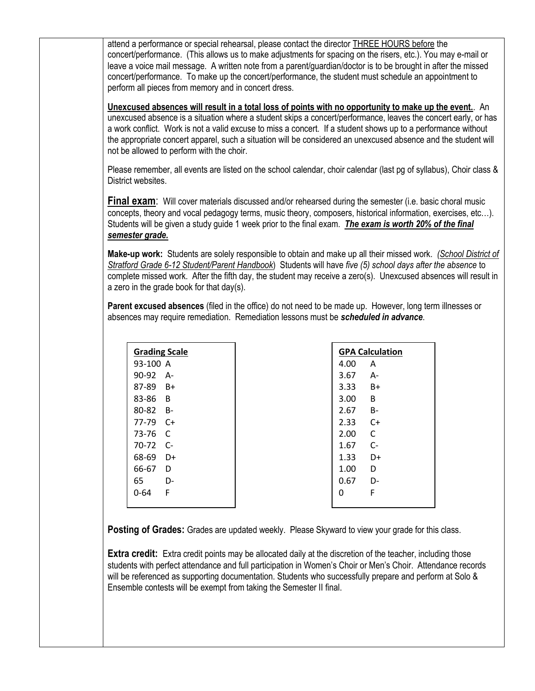attend a performance or special rehearsal, please contact the director THREE HOURS before the concert/performance. (This allows us to make adjustments for spacing on the risers, etc.). You may e-mail or leave a voice mail message. A written note from a parent/guardian/doctor is to be brought in after the missed concert/performance. To make up the concert/performance, the student must schedule an appointment to perform all pieces from memory and in concert dress.

**Unexcused absences will result in a total loss of points with no opportunity to make up the event.**. An unexcused absence is a situation where a student skips a concert/performance, leaves the concert early, or has a work conflict. Work is not a valid excuse to miss a concert. If a student shows up to a performance without the appropriate concert apparel, such a situation will be considered an unexcused absence and the student will not be allowed to perform with the choir.

Please remember, all events are listed on the school calendar, choir calendar (last pg of syllabus), Choir class & District websites.

**Final exam:** Will cover materials discussed and/or rehearsed during the semester (i.e. basic choral music concepts, theory and vocal pedagogy terms, music theory, composers, historical information, exercises, etc…). Students will be given a study guide 1 week prior to the final exam. *The exam is worth 20% of the final semester grade.*

**Make-up work:** Students are solely responsible to obtain and make up all their missed work. *(School District of Stratford Grade 6-12 Student/Parent Handbook*) Students will have *five (5) school days after the absence* to complete missed work. After the fifth day, the student may receive a zero(s). Unexcused absences will result in a zero in the grade book for that day(s).

**Parent excused absences** (filed in the office) do not need to be made up. However, long term illnesses or absences may require remediation. Remediation lessons must be *scheduled in advance*.

| <b>Grading Scale</b> |      |  |  |  |  |  |  |
|----------------------|------|--|--|--|--|--|--|
| 93-100 A             |      |  |  |  |  |  |  |
| 90-92                | А-   |  |  |  |  |  |  |
| 87-89                | B+   |  |  |  |  |  |  |
| 83-86                | в    |  |  |  |  |  |  |
| 80-82                | в-   |  |  |  |  |  |  |
| 77-79                | C+   |  |  |  |  |  |  |
| 73-76                | C    |  |  |  |  |  |  |
| 70-72                | $C-$ |  |  |  |  |  |  |
| 68-69                | D+   |  |  |  |  |  |  |
| 66-67                | D    |  |  |  |  |  |  |
| 65                   | D-   |  |  |  |  |  |  |
| 0-64                 | F    |  |  |  |  |  |  |
|                      |      |  |  |  |  |  |  |

| <b>GPA Calculation</b> |    |  |  |  |  |  |  |
|------------------------|----|--|--|--|--|--|--|
| 4.00                   | А  |  |  |  |  |  |  |
| 3.67                   | А- |  |  |  |  |  |  |
| 3.33                   | B+ |  |  |  |  |  |  |
| 3.00                   | B  |  |  |  |  |  |  |
| 2.67                   | B- |  |  |  |  |  |  |
| 2.33                   | C+ |  |  |  |  |  |  |
| 2.00                   | C  |  |  |  |  |  |  |
| 1.67                   | C- |  |  |  |  |  |  |
| 1.33                   | D+ |  |  |  |  |  |  |
| 1.00                   | D  |  |  |  |  |  |  |
| 0.67                   | D- |  |  |  |  |  |  |
| ი                      | F  |  |  |  |  |  |  |
|                        |    |  |  |  |  |  |  |

**Posting of Grades:** Grades are updated weekly. Please Skyward to view your grade for this class.

**Extra credit:** Extra credit points may be allocated daily at the discretion of the teacher, including those students with perfect attendance and full participation in Women's Choir or Men's Choir. Attendance records will be referenced as supporting documentation. Students who successfully prepare and perform at Solo & Ensemble contests will be exempt from taking the Semester II final.